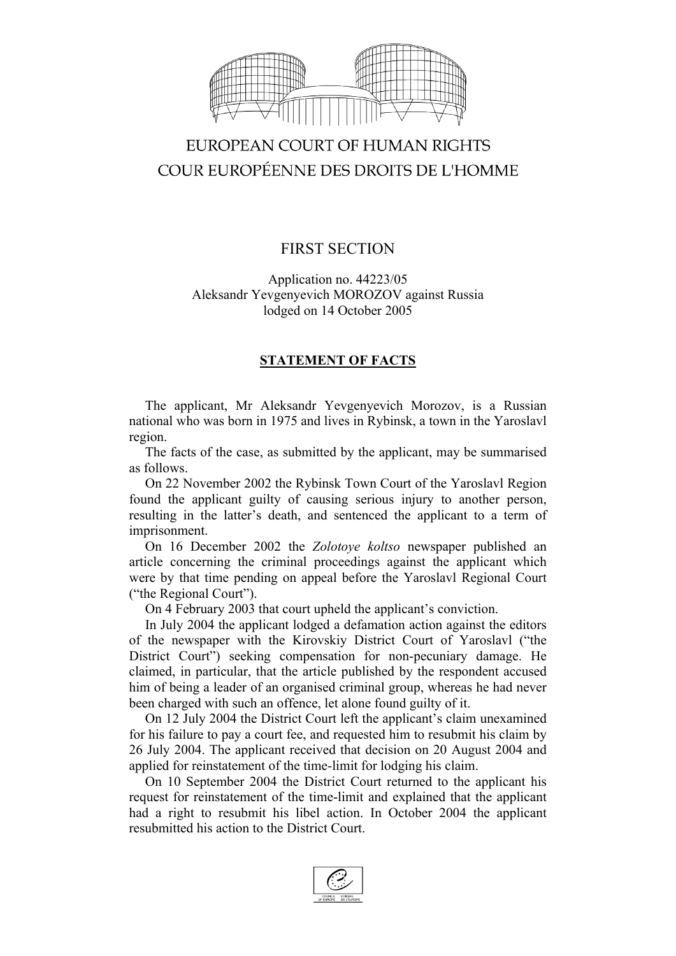

# EUROPEAN COURT OF HUMAN RIGHTS COUR EUROPÉENNE DES DROITS DE L'HOMME

## FIRST SECTION

Application no. 44223/05 Aleksandr Yevgenyevich MOROZOV against Russia lodged on 14 October 2005

### **STATEMENT OF FACTS**

The applicant, Mr Aleksandr Yevgenyevich Morozov, is a Russian national who was born in 1975 and lives in Rybinsk, a town in the Yaroslavl region.

The facts of the case, as submitted by the applicant, may be summarised as follows.

On 22 November 2002 the Rybinsk Town Court of the Yaroslavl Region found the applicant guilty of causing serious injury to another person, resulting in the latter's death, and sentenced the applicant to a term of imprisonment.

On 16 December 2002 the *Zolotoye koltso* newspaper published an article concerning the criminal proceedings against the applicant which were by that time pending on appeal before the Yaroslavl Regional Court ("the Regional Court").

On 4 February 2003 that court upheld the applicant's conviction.

In July 2004 the applicant lodged a defamation action against the editors of the newspaper with the Kirovskiy District Court of Yaroslavl ("the District Court") seeking compensation for non-pecuniary damage. He claimed, in particular, that the article published by the respondent accused him of being a leader of an organised criminal group, whereas he had never been charged with such an offence, let alone found guilty of it.

On 12 July 2004 the District Court left the applicant's claim unexamined for his failure to pay a court fee, and requested him to resubmit his claim by 26 July 2004. The applicant received that decision on 20 August 2004 and applied for reinstatement of the time-limit for lodging his claim.

On 10 September 2004 the District Court returned to the applicant his request for reinstatement of the time-limit and explained that the applicant had a right to resubmit his libel action. In October 2004 the applicant resubmitted his action to the District Court.

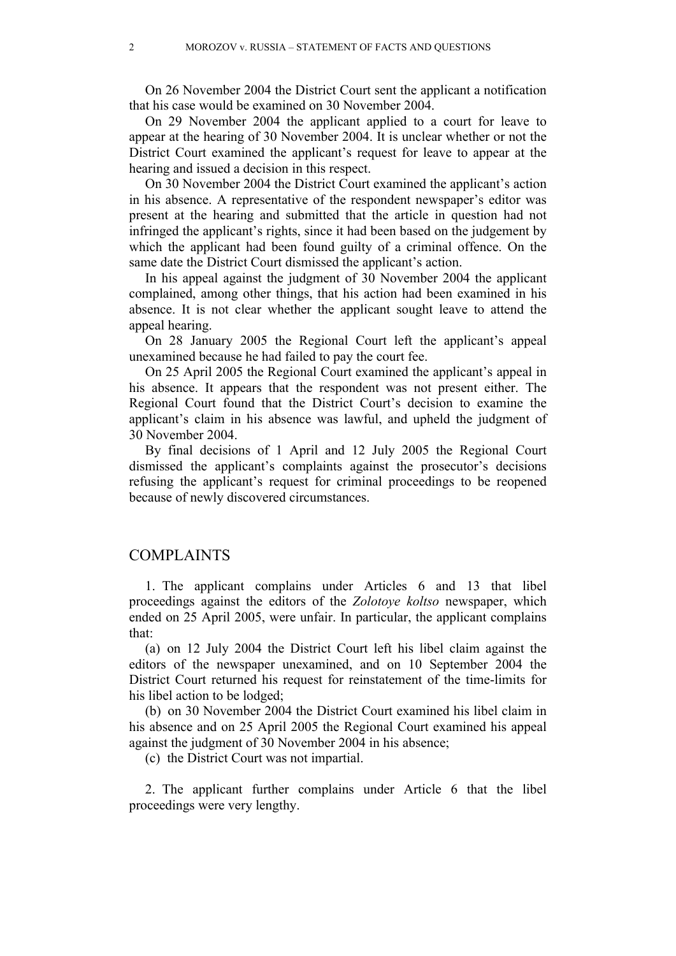On 26 November 2004 the District Court sent the applicant a notification that his case would be examined on 30 November 2004.

On 29 November 2004 the applicant applied to a court for leave to appear at the hearing of 30 November 2004. It is unclear whether or not the District Court examined the applicant's request for leave to appear at the hearing and issued a decision in this respect.

On 30 November 2004 the District Court examined the applicant's action in his absence. A representative of the respondent newspaper's editor was present at the hearing and submitted that the article in question had not infringed the applicant's rights, since it had been based on the judgement by which the applicant had been found guilty of a criminal offence. On the same date the District Court dismissed the applicant's action.

In his appeal against the judgment of 30 November 2004 the applicant complained, among other things, that his action had been examined in his absence. It is not clear whether the applicant sought leave to attend the appeal hearing.

On 28 January 2005 the Regional Court left the applicant's appeal unexamined because he had failed to pay the court fee.

On 25 April 2005 the Regional Court examined the applicant's appeal in his absence. It appears that the respondent was not present either. The Regional Court found that the District Court's decision to examine the applicant's claim in his absence was lawful, and upheld the judgment of 30 November 2004.

By final decisions of 1 April and 12 July 2005 the Regional Court dismissed the applicant's complaints against the prosecutor's decisions refusing the applicant's request for criminal proceedings to be reopened because of newly discovered circumstances.

#### COMPLAINTS

1. The applicant complains under Articles 6 and 13 that libel proceedings against the editors of the *Zolotoye koltso* newspaper, which ended on 25 April 2005, were unfair. In particular, the applicant complains that:

(a) on 12 July 2004 the District Court left his libel claim against the editors of the newspaper unexamined, and on 10 September 2004 the District Court returned his request for reinstatement of the time-limits for his libel action to be lodged;

(b) on 30 November 2004 the District Court examined his libel claim in his absence and on 25 April 2005 the Regional Court examined his appeal against the judgment of 30 November 2004 in his absence;

(c) the District Court was not impartial.

2. The applicant further complains under Article 6 that the libel proceedings were very lengthy.